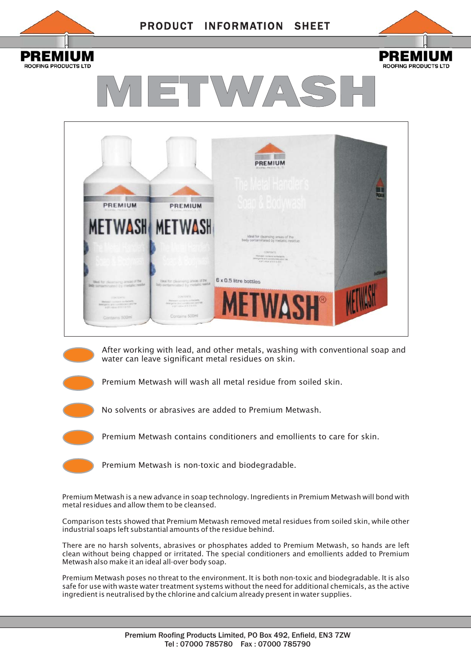







After working with lead, and other metals, washing with conventional soap and water can leave significant metal residues on skin.

Premium Metwash will wash all metal residue from soiled skin.

No solvents or abrasives are added to Premium Metwash.

Premium Metwash contains conditioners and emollients to care for skin.

Premium Metwash is non-toxic and biodegradable.

Premium Metwash is a new advance in soap technology. Ingredients in Premium Metwash will bond with metal residues and allow them to be cleansed.

Comparison tests showed that Premium Metwash removed metal residues from soiled skin, while other industrial soaps left substantial amounts of the residue behind.

There are no harsh solvents, abrasives or phosphates added to Premium Metwash, so hands are left clean without being chapped or irritated. The special conditioners and emollients added to Premium Metwash also make it an ideal all-over body soap.

Premium Metwash poses no threat to the environment. It is both non-toxic and biodegradable. It is also safe for use with waste water treatment systems without the need for additional chemicals, as the active ingredient is neutralised by the chlorine and calcium already present in water supplies.